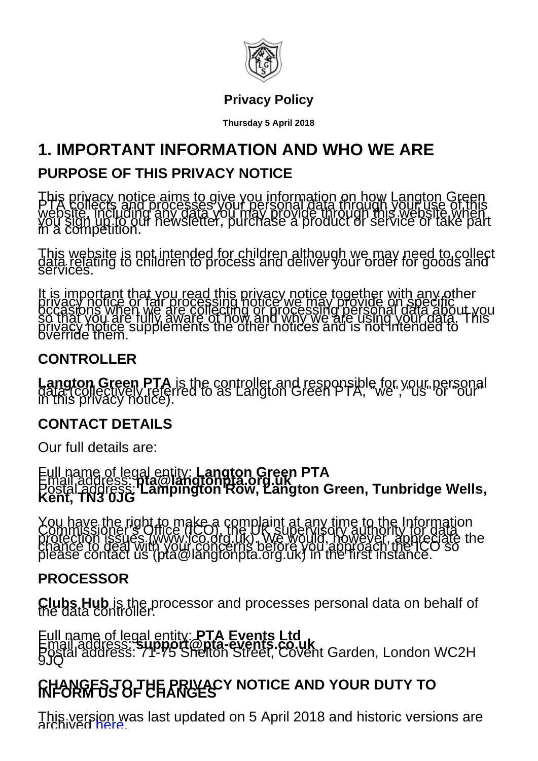

#### **Privacy Policy**

**Thursday 5 April 2018**

## **1. IMPORTANT INFORMATION AND WHO WE ARE**

#### **PURPOSE OF THIS PRIVACY NOTICE**

This privacy notice aims to give you information on how Langton Green<br>PTA Pollects and processes your personal data through your use of this<br>website, including any data you may provide through this website when<br>you sign up

his website is not intended for children although we may need to collect<br>ata relating to children to process and deliver your order for goods and<br>sivices.

is important that you read this privacy notice together with any other<br>ivacy notice or fair processing notice we may provide on specific<br>:casions when we are collecting or processing personal data apout y<br>1 that you are fu

#### **CONTROLLER**

**Langton Green PTA** is the controller and responsible for your personal data (collectively referred to as Langton Green PTA, "we", "us" or "our" in this privacy notice).

#### **CONTACT DETAILS**

Our full details are:

Full name of legal entity: **Langton Green PTA**<br>Email address: **pta@langtonpta.org.uk**<br>Postal address: Lampington Row, Langton Green, Tunbridge Wells,<br>Kent, TN3 0JG

You have the right to make a complaint at any time to the Information<br>Commissioner's Office (ICO), the UK supervisory authority for data<br>protection issues (www.ico.org.uk). We would, however, appreciate the<br>chance to deal

#### **PROCESSOR**

**Clubs Hub** is the processor and processes personal data on behalf of the data controller.

Full name of legal entity: **PTA Events Ltd**<br>Email address: **support@pta-events.co.uk**<br>Postal address: 71-75 Shelton Street, Covent Garden, London WC2H

# **CHANGES TO THE PRIVACY NOTICE AND YOUR DUTY TO INFORM US OF CHANGES**

This vers[ion w](/langton-green/index.cfm?event=privacy&viewPreviousPrivacyPolicy=true)as last updated on 5 April 2018 and historic versions are<br>archived [here](/langton-green/index.cfm?event=privacy&viewPreviousPrivacyPolicy=true).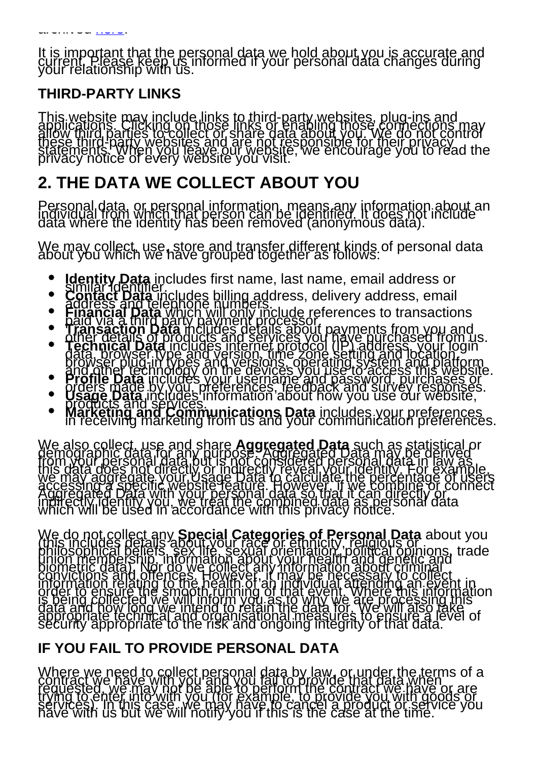It is important that the personal data we hold about you is accurate and<br>current. Please keep us informed if your personal data changes during<br>your relationship with us.

#### **THIRD-PARTY LINKS**

This website may include links to third-party websites, plug-ins and<br>applications. Clicking on those links or enabling those comections may<br>allow third parties to collect or share data about you. We do not control<br>these th

## **2. THE DATA WE COLLECT ABOUT YOU**

Personal data, or personal information, means any information about an<br>individual from which that person can be identified. It does not include<br>data where the identity has been removed (anonymous data).

We may collect, use, store and transfer different kinds of personal data about you which we have grouped together as follows:

- 
- 
- 
- Identity Data includes first name, last name, email address or<br>Contract Data includes first name, last name, email address or<br>Contract Data includes billing address, delivery address, email<br>Financial Data which will only i
- 
- 
- 

We also collect, use and share **Aggregated Data** such as statistical or<br>demographic data for any purpose Aggregated Data may be derived<br>from your personal data but is not considered personal data in law as<br>this data does n

We do not collect any **Special Categories of Personal Data** about you<br>(this includes details about your race or ethnicity, religious of about you<br>philosophical beliefs, sex life, sexual orientation, political opinions, tra

#### **IF YOU FAIL TO PROVIDE PERSONAL DATA**

Where we need to collect personal data by law, or under the terms of a<br>contract we have with you and you fail to provide that data when<br>requested, we may not be able to perform the contract we have or are<br>trying to enter i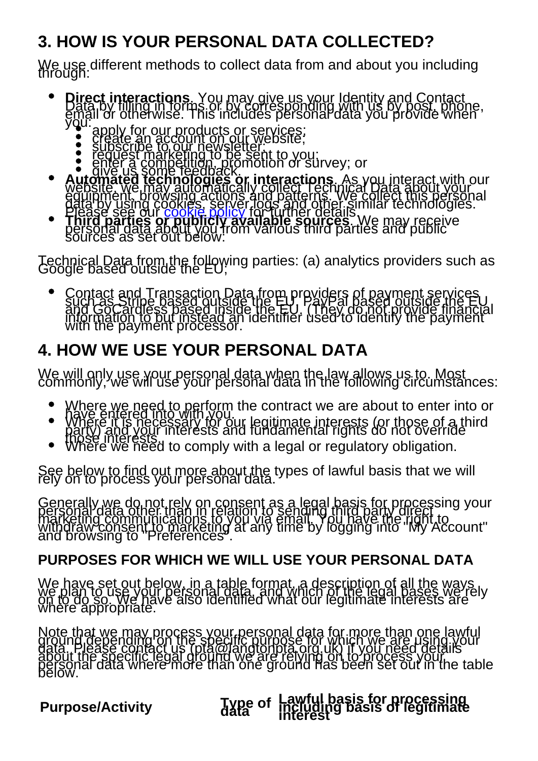# **3. HOW IS YOUR PERSONAL DATA COLLECTED?**

We use different methods to collect data from and about you including<br>through:

- **Direct interactions**. You may give us your Identity and Contact<br>Data by filling in forms or by corresponding with us by post, phone,<br>email or otherwise. This includes personal data you provide when
	-
	-
	-
- by the origin of stream increases personal data yea provide when<br>apply for our products or services;<br>apply for our newsletter;<br>subscribe to our newsletter;<br>equest marketing to be sent to you;<br>and completed be sent to you;<br>
- 

Technical Data from the following parties: (a) analytics providers such as Google based outside the EU;

Contact and Transaction Data from providers of payment services<br>such as Stripe based outside the EU, (They do not provide the Eu<br>and GoCardless pased inside the EU, (They do not provide financial<br>information to but instead

# **4. HOW WE USE YOUR PERSONAL DATA**

We will only use your personal data when the law allows us to. Most commonly, we will use your personal data in the following circumstances:

- 
- Where we need to perform the contract we are about to enter into or<br>have entered into with you, legitimate interests (or those of a third<br>party) and your interests and fundamental rights do not override<br>those interests
- 

See below to find out more about the types of lawful basis that we will rely on to process your personal data.

Generally we do not rely on consent as a legal basis for processing your<br>personal data other than in relation to sending third party direct<br>marketing communications to you via email. You have the right to<br>withdraw consent

## **PURPOSES FOR WHICH WE WILL USE YOUR PERSONAL DATA**

We have set out below, in a table format, a description of all the ways<br>we plan to use your personal data, and which of the legal bases we rely<br>on to do so. We have also identified what our legitimate interests are

Note that we may process your personal data for more than one lawful<br>ground depending on the specific purpose for which we are using your<br>data. Please contact us (pta@langtonpta.org.uk) if you need details<br>about the specif

**Purpose/Activity** Type of

# **Lawful basis for processing including basis of legitimate interest**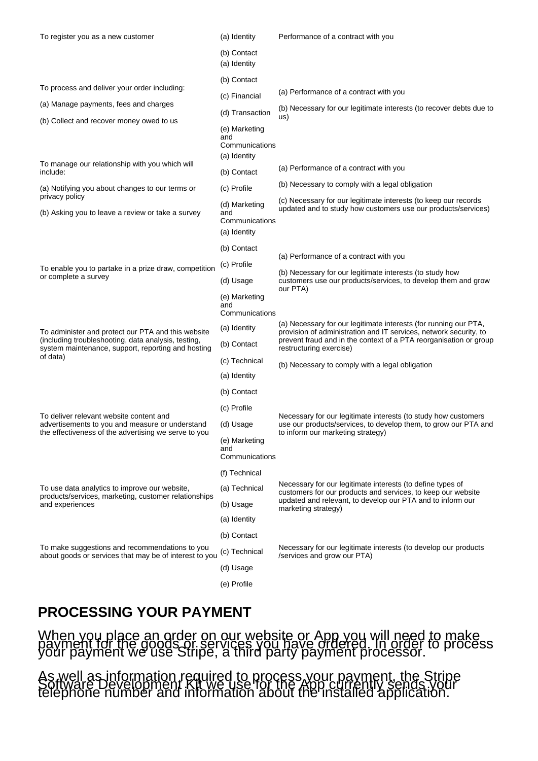| To register you as a new customer                                                                                                                                           | (a) Identity                                           | Performance of a contract with you                                                                                                                                                                                                    |
|-----------------------------------------------------------------------------------------------------------------------------------------------------------------------------|--------------------------------------------------------|---------------------------------------------------------------------------------------------------------------------------------------------------------------------------------------------------------------------------------------|
|                                                                                                                                                                             | (b) Contact<br>(a) Identity                            |                                                                                                                                                                                                                                       |
|                                                                                                                                                                             | (b) Contact                                            |                                                                                                                                                                                                                                       |
| To process and deliver your order including:                                                                                                                                | (c) Financial                                          | (a) Performance of a contract with you                                                                                                                                                                                                |
| (a) Manage payments, fees and charges                                                                                                                                       | (d) Transaction                                        | (b) Necessary for our legitimate interests (to recover debts due to<br>us)                                                                                                                                                            |
| (b) Collect and recover money owed to us                                                                                                                                    | (e) Marketing<br>and<br>Communications<br>(a) Identity |                                                                                                                                                                                                                                       |
| To manage our relationship with you which will<br>include:                                                                                                                  | (b) Contact                                            | (a) Performance of a contract with you                                                                                                                                                                                                |
| (a) Notifying you about changes to our terms or                                                                                                                             | (c) Profile                                            | (b) Necessary to comply with a legal obligation                                                                                                                                                                                       |
| privacy policy<br>(b) Asking you to leave a review or take a survey                                                                                                         | (d) Marketing<br>and<br>Communications<br>(a) Identity | (c) Necessary for our legitimate interests (to keep our records<br>updated and to study how customers use our products/services)                                                                                                      |
|                                                                                                                                                                             | (b) Contact                                            |                                                                                                                                                                                                                                       |
| To enable you to partake in a prize draw, competition<br>or complete a survey                                                                                               | (c) Profile                                            | (a) Performance of a contract with you<br>(b) Necessary for our legitimate interests (to study how<br>customers use our products/services, to develop them and grow<br>our PTA)                                                       |
|                                                                                                                                                                             | (d) Usage                                              |                                                                                                                                                                                                                                       |
|                                                                                                                                                                             | (e) Marketing<br>and<br>Communications                 |                                                                                                                                                                                                                                       |
| To administer and protect our PTA and this website<br>(including troubleshooting, data analysis, testing,<br>system maintenance, support, reporting and hosting<br>of data) | (a) Identity                                           | (a) Necessary for our legitimate interests (for running our PTA,<br>provision of administration and IT services, network security, to<br>prevent fraud and in the context of a PTA reorganisation or group<br>restructuring exercise) |
|                                                                                                                                                                             | (b) Contact                                            |                                                                                                                                                                                                                                       |
|                                                                                                                                                                             | (c) Technical                                          | (b) Necessary to comply with a legal obligation                                                                                                                                                                                       |
|                                                                                                                                                                             | (a) Identity                                           |                                                                                                                                                                                                                                       |
|                                                                                                                                                                             | (b) Contact                                            |                                                                                                                                                                                                                                       |
| To deliver relevant website content and<br>advertisements to you and measure or understand<br>the effectiveness of the advertising we serve to you                          | (c) Profile                                            | Necessary for our legitimate interests (to study how customers<br>use our products/services, to develop them, to grow our PTA and<br>to inform our marketing strategy)                                                                |
|                                                                                                                                                                             | (d) Usage                                              |                                                                                                                                                                                                                                       |
|                                                                                                                                                                             | (e) Marketing<br>and<br>Communications                 |                                                                                                                                                                                                                                       |
|                                                                                                                                                                             | (f) Technical                                          |                                                                                                                                                                                                                                       |
| To use data analytics to improve our website,<br>products/services, marketing, customer relationships<br>and experiences                                                    | (a) Technical                                          | Necessary for our legitimate interests (to define types of<br>customers for our products and services, to keep our website<br>updated and relevant, to develop our PTA and to inform our<br>marketing strategy)                       |
|                                                                                                                                                                             | (b) Usage                                              |                                                                                                                                                                                                                                       |
|                                                                                                                                                                             | (a) Identity                                           |                                                                                                                                                                                                                                       |
|                                                                                                                                                                             | (b) Contact                                            |                                                                                                                                                                                                                                       |
| To make suggestions and recommendations to you<br>about goods or services that may be of interest to you                                                                    | (c) Technical                                          | Necessary for our legitimate interests (to develop our products<br>/services and grow our PTA)                                                                                                                                        |
|                                                                                                                                                                             | (d) Usage                                              |                                                                                                                                                                                                                                       |
|                                                                                                                                                                             | (e) Profile                                            |                                                                                                                                                                                                                                       |

#### **PROCESSING YOUR PAYMENT**

When you place an order on our website or App you will need to make<br>payment for the goods or services you have ordered. In order to process<br>your payment we use Stripe, a third party payment processor.

As well as information required to process your payment, the Stripe Software Development Kit we use for the App currently sends your telephone number and information about the installed application.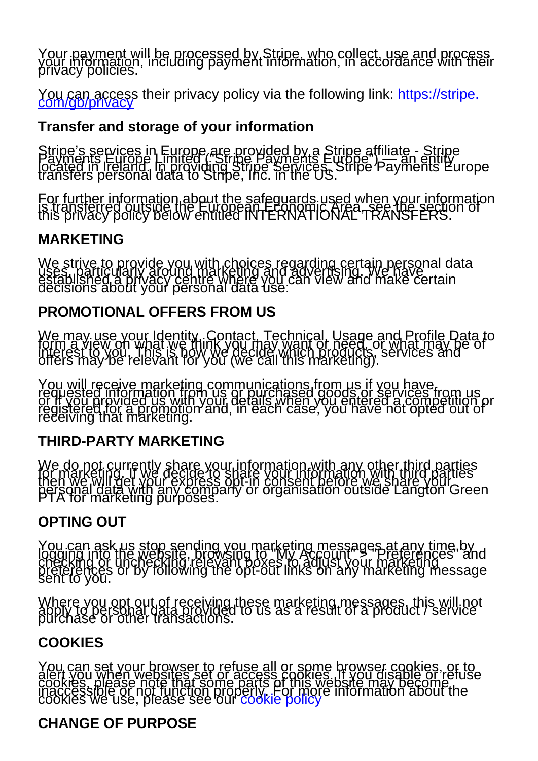Your payment will be processed by Stripe, who collect, use and process<br>your information, including payment information, in accordance with their<br>privacy policies.

You can access their privacy policy via the following link: [https://stripe.](https://stripe.com/gb/privacy)

#### **Transfer and storage of your information**

Stripe's services in Europe are provided by a Stripe affiliate - Stripe<br>Payments Europe Limited distripe payments Europe") — an entity<br>located in Ireland. In providing Stripe, in the US.<br>transfers personal data to Stripe,

For further information about the safeguards used when your information<br>is transferred outside the European Economic Area, section of<br>this privacy policy below entitled INTERNATIONAL TRANSFERS.

#### **MARKETING**

We strive to provide you with choices regarding certain personal data<br>uses, particularly around marketing and advertising. We have<br>decisions about your personal data use.

#### **PROMOTIONAL OFFERS FROM US**

We may use your Identity. Contact, Technical, Usage and Profile Data to<br>form a view on what we think you may want or need, or what may be of<br>interest to you. This is how we decide which products, services and<br>offers may be

You will receive marketing communications from us if you have.<br>requested information from us or purchased goods or services from us<br>or if you provided us with your details when you entered a competition or<br>receiving that m

#### **THIRD-PARTY MARKETING**

We do not currently share your information with any other third parties<br>for marketing. If we decide to share your information with third parties<br>then we will get your express opt-in consent before we share your<br>personal da

#### **OPTING OUT**

You can ask us stop sending you marketing messages at any time by<br>logging into the website, browsing to "My Account" > "Preferences" and<br>checking or unchecking relevant boxes to adjust your marketing<br>preferences or by foll

Where you opt out of receiving these marketing messages, this will not apply to personal data provided to us as a result of a product / service purchase or other transactions.

#### **COOKIES**

You can set your browser to refuse all or some browser cookies, or to<br>alert you when websites set or access cookies. If you disable or refuse<br>cookies please note that some parts of this website may become.<br>inaccessible or

#### **CHANGE OF PURPOSE**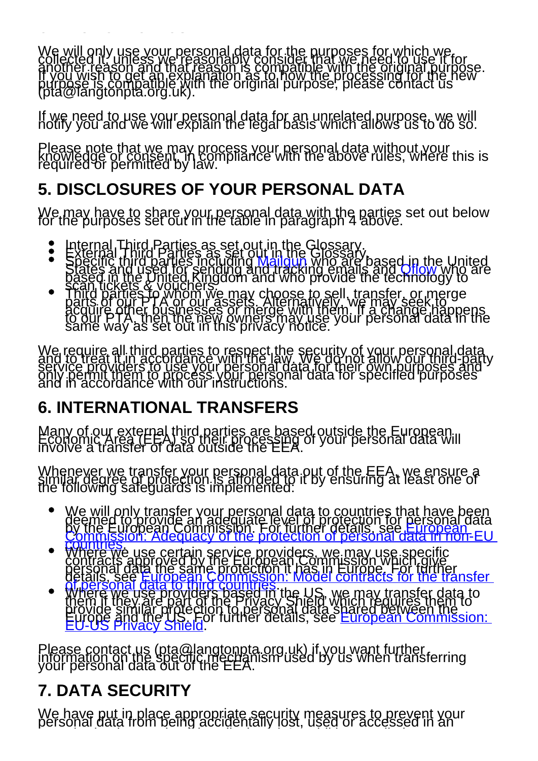We will only use your personal data for the purposes for which we,<br>collected it, unless we reasonably consider that we need to use it for<br>another reason and that reason is compatible with the original purpose.<br>If you wish

If we need to use your personal data for an unrelated purpose, we will notify you and we will explain the legal basis which allows us to do so.

Please note that we may process your personal data without your<br>knowledge or consent, in compliance with the above rules, where this is<br>required or permitted by law.

# **5. DISCLOSURES OF YOUR PERSONAL DATA**

We may have to share your personal data with the parties set out below for the purposes set out in the table in paragraph 4 above.

- $\bullet$
- 
- Internal Third Parties as set out in the Glossary.<br>External Third Parties as set out in the Glossary.<br>Specific third parties including [Mailgun](https://www.mailgun.com/) who are base[d in the](http://www.getqflow.com/) United<br>States and used for sending a[nd tracki](https://www.mailgun.com/)ng emails and

We require all third parties to respect the security of your personal data<br>and to treat it in accordance with the law. We do not allow our third-part<br>service providers to use your personal data for their own purposes and<br>o

# **6. INTERNATIONAL TRANSFERS**

**CHANGE OF PURPOSE**

Many of our external third parties are based outside the European.<br>Economic Area (EEA) so their processing of your personal data will<br>involve a transfer of data outside the EEA.

Whenever we transfer your personal data out of the EEA, we ensure a similar degree of protection is afforded to it by ensuring at least one of<br>the following safeguards is implemented:

- 
- 
- We will only transfer your [personal d](https://ec.europa.eu/info/law/law-topic/data-protection/data-transfers-outside-eu/adequacy-protection-personal-data-non-eu-countries_en)ata to countries that have been<br>deemee for pool de an adequate level on portection for personal data<br>Commission: Adequacy of the protection of personal data in non-EU<br>commission: Adequa

Please contact us (pta@langtonpta.org.uk) if you want further<br>information on the specific mechanism used by us when transferring<br>your personal data out of the EEA.

# **7. DATA SECURITY**

We have put in place appropriate security measures to prevent your<br>personal data from being accidentally lost, used or accessed in an unauthorised way, altered or disclosed. In addition, we limit a disclosed or disclosed. In addition, we limit a<br>The contract of the contract of the contract of the contract of the contract of the contract of the contract o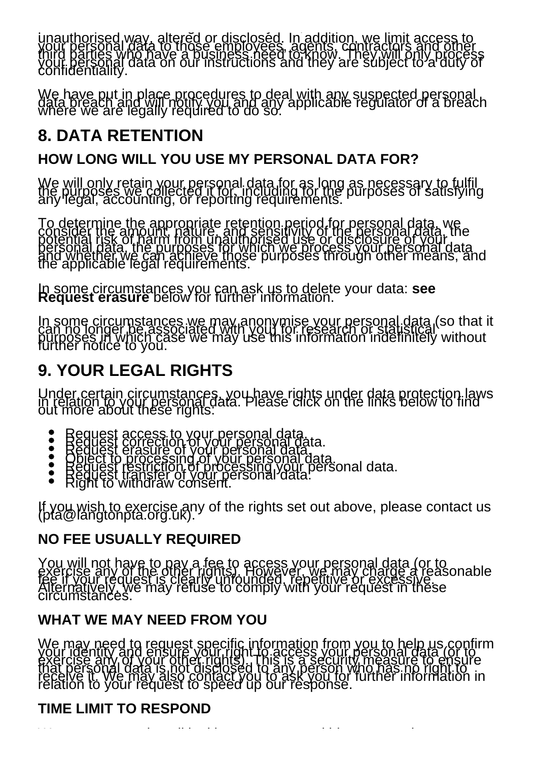personal data from being accidentally lost, used or accessed in an unauthorised way, altered or disclosed. In addition, we limit access to<br>your personal data to those employees, agents, contractors and other<br>third parties who have a business need to know. They will only process<br>your perso

We have put in place procedures to deal with any suspected personal<br>data breach and will notify you and any applicable regulator of a breach<br>where we are legally required to do so.

# **8. DATA RETENTION**

### **HOW LONG WILL YOU USE MY PERSONAL DATA FOR?**

We will only retain your personal data for as long as necessary to fulfil<br>the purposes we collected it for, including for the purposes of satisfying<br>any legal, accounting, or reporting requirements.

To determine the appropriate retention period for personal data, we<br>consider the amount, nature, and sensitivity of the personal data, the<br>potential risk of harm from unauthorised use or disclosure of your<br>personal data, t

In some circumstances you can ask us to delete your data: **see Request erasure** below for further information.

In some circumstances we may anonymise your personal data (so that it<br>can no longer be associated with you) for research or statistical<br>purposes in which case we may use this information indefinitely without<br>further notice

# **9. YOUR LEGAL RIGHTS**

Under certain circumstances, you have rights under data protection laws<br>in relation to your personal data. Please click on the links below to find<br>out more about these rights:

- 
- 
- Request access to your personal data.<br>Request correction of your personal data.<br>Object to processing of your personal data.<br>Object to processing of your personal data.<br>Request transfer of your personal data.<br>Right to withd  $\bullet$
- 

If you wish to exercise any of the rights set out above, please contact us (pta@langtonpta.org.uk).

#### **NO FEE USUALLY REQUIRED**

You will not have to pay a fee to access your personal data (or to<br>exercise any of the other rights). However, we may charge a reasonable<br>fee if your request is clearly unfounded, repetitive or excessive.<br>Alternatively, we

## **WHAT WE MAY NEED FROM YOU**

We may need to request specific information from you to help us confirm<br>your identity and ensure your right to access your personal data (or to<br>exercise any of your other rights). This is a security measure to ensure<br>that

## **TIME LIMIT TO RESPOND**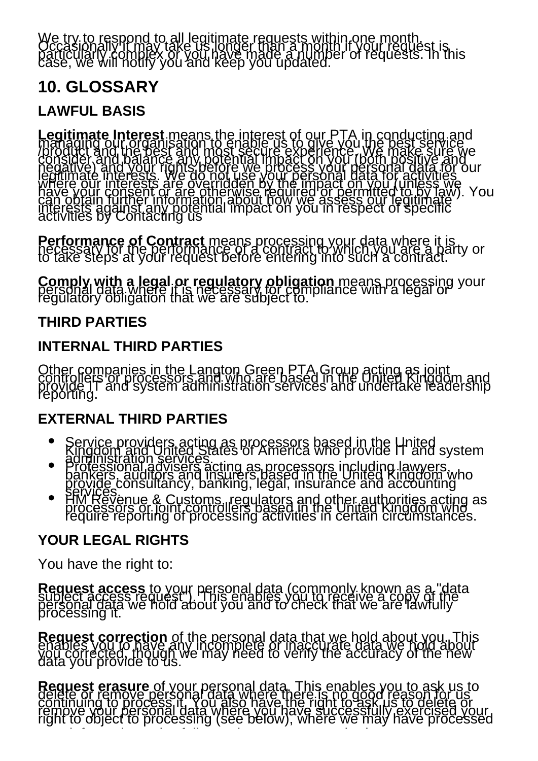We try to respond to all legitimate requests within one month.<br>Occasionally it may take us longer than a month if your request is<br>particularly complex or you have made a number of requests. In this

## **10. GLOSSARY**

#### **LAWFUL BASIS**

Legitimate Interest means the interest of our PTA in conducting and<br>managing our organisation to enable us to give you the best service<br>/product and the best and most secure experience, We make sure we<br>consider and palance

**Performance of Contract** means processing your data where it is necessary for the performance of a contract to which you are a party or to take steps at your request before entering into such a contract.

**Comply with a legal or regulatory obligation** means processing your<br>personal data where it is necessary for compliance with a legal or<br>regulatory obligation that we are subject to.

#### **THIRD PARTIES**

#### **INTERNAL THIRD PARTIES**

Other companies in the Langton Green PTA Group acting as joint<br>controllers or processors and who are based in the United Kingdom and<br>provide IT and system administration services and undertake leadership

#### **EXTERNAL THIRD PARTIES**

- 
- 
- Service providers acting as processors based in the United<br>Kingdom and United States of America who provide IT and system<br>administration services acting as processors including lawyers,<br>professional advisers acting as proc

#### **YOUR LEGAL RIGHTS**

You have the right to:

**Request access** to your personal data (commonly known as a "data<br>subject access request"). This enables you to receive a copy of the<br>personal data we hold about you and to check that we are lawfully

Request correction of the personal data that we hold about you. This<br>enables you to have any incomplete or inaccurate data we hold about<br>you corrected, though we may need to verify the accuracy of the new

Request erasure of your personal data. This enables you to ask us to<br>delete or remove personal data where there is no good reason for us<br>continuing to process it. You also have the right to ask just to delete or<br>right to o

your information unlawfully or where we are required to erase your weeks your control to examine your control t<br>The control to erase your control to examine your control to examine your control to examine your control to e